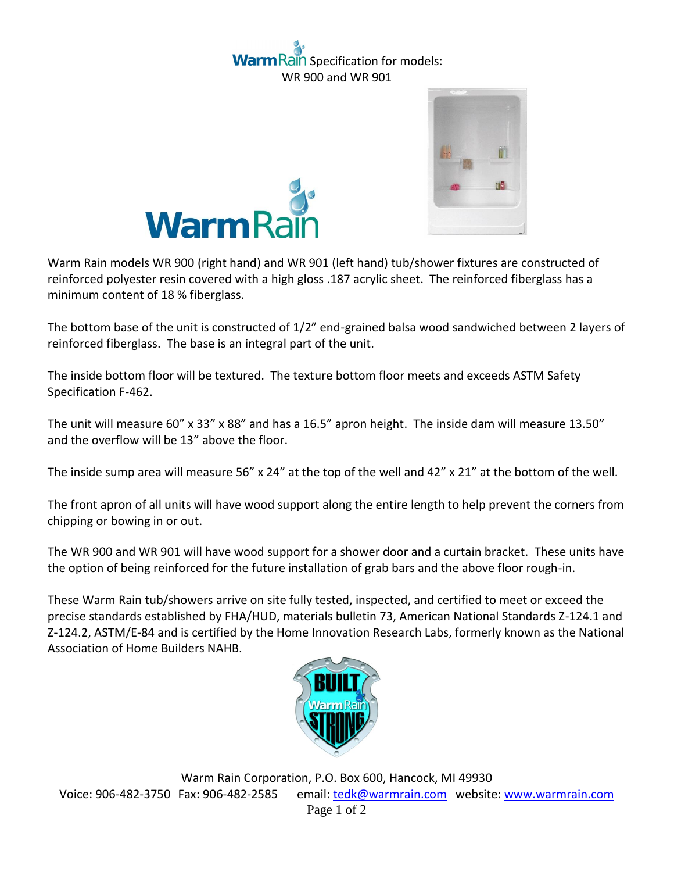## ain Specification for models: WR 900 and WR 901





Warm Rain models WR 900 (right hand) and WR 901 (left hand) tub/shower fixtures are constructed of reinforced polyester resin covered with a high gloss .187 acrylic sheet. The reinforced fiberglass has a minimum content of 18 % fiberglass.

The bottom base of the unit is constructed of 1/2" end-grained balsa wood sandwiched between 2 layers of reinforced fiberglass. The base is an integral part of the unit.

The inside bottom floor will be textured. The texture bottom floor meets and exceeds ASTM Safety Specification F-462.

The unit will measure 60" x 33" x 88" and has a 16.5" apron height. The inside dam will measure 13.50" and the overflow will be 13" above the floor.

The inside sump area will measure 56" x 24" at the top of the well and 42" x 21" at the bottom of the well.

The front apron of all units will have wood support along the entire length to help prevent the corners from chipping or bowing in or out.

The WR 900 and WR 901 will have wood support for a shower door and a curtain bracket. These units have the option of being reinforced for the future installation of grab bars and the above floor rough-in.

These Warm Rain tub/showers arrive on site fully tested, inspected, and certified to meet or exceed the precise standards established by FHA/HUD, materials bulletin 73, American National Standards Z-124.1 and Z-124.2, ASTM/E-84 and is certified by the Home Innovation Research Labs, formerly known as the National Association of Home Builders NAHB.